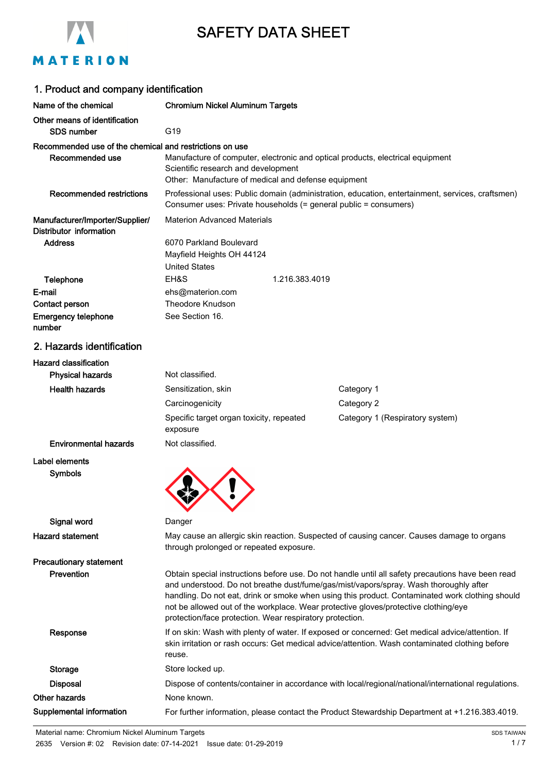

# SAFETY DATA SHEET

# MATERION

| 1. Product and company identification                                      |                                                                                                                                                                                                                                                                                                                                                                                                                                                  |                |                                                                                                     |
|----------------------------------------------------------------------------|--------------------------------------------------------------------------------------------------------------------------------------------------------------------------------------------------------------------------------------------------------------------------------------------------------------------------------------------------------------------------------------------------------------------------------------------------|----------------|-----------------------------------------------------------------------------------------------------|
| Name of the chemical                                                       | <b>Chromium Nickel Aluminum Targets</b>                                                                                                                                                                                                                                                                                                                                                                                                          |                |                                                                                                     |
| Other means of identification<br><b>SDS number</b>                         | G19                                                                                                                                                                                                                                                                                                                                                                                                                                              |                |                                                                                                     |
| Recommended use of the chemical and restrictions on use<br>Recommended use | Manufacture of computer, electronic and optical products, electrical equipment<br>Scientific research and development<br>Other: Manufacture of medical and defense equipment                                                                                                                                                                                                                                                                     |                |                                                                                                     |
| <b>Recommended restrictions</b>                                            | Consumer uses: Private households (= general public = consumers)                                                                                                                                                                                                                                                                                                                                                                                 |                | Professional uses: Public domain (administration, education, entertainment, services, craftsmen)    |
| Manufacturer/Importer/Supplier/<br>Distributor information                 | <b>Materion Advanced Materials</b>                                                                                                                                                                                                                                                                                                                                                                                                               |                |                                                                                                     |
| <b>Address</b>                                                             | 6070 Parkland Boulevard<br>Mayfield Heights OH 44124<br><b>United States</b>                                                                                                                                                                                                                                                                                                                                                                     |                |                                                                                                     |
| Telephone                                                                  | EH&S                                                                                                                                                                                                                                                                                                                                                                                                                                             | 1.216.383.4019 |                                                                                                     |
| E-mail                                                                     | ehs@materion.com                                                                                                                                                                                                                                                                                                                                                                                                                                 |                |                                                                                                     |
| Contact person                                                             | <b>Theodore Knudson</b>                                                                                                                                                                                                                                                                                                                                                                                                                          |                |                                                                                                     |
| <b>Emergency telephone</b><br>number                                       | See Section 16.                                                                                                                                                                                                                                                                                                                                                                                                                                  |                |                                                                                                     |
| 2. Hazards identification                                                  |                                                                                                                                                                                                                                                                                                                                                                                                                                                  |                |                                                                                                     |
| <b>Hazard classification</b><br><b>Physical hazards</b>                    | Not classified.                                                                                                                                                                                                                                                                                                                                                                                                                                  |                |                                                                                                     |
| <b>Health hazards</b>                                                      | Sensitization, skin                                                                                                                                                                                                                                                                                                                                                                                                                              |                | Category 1                                                                                          |
|                                                                            | Carcinogenicity                                                                                                                                                                                                                                                                                                                                                                                                                                  |                | Category 2                                                                                          |
|                                                                            | Specific target organ toxicity, repeated<br>exposure                                                                                                                                                                                                                                                                                                                                                                                             |                | Category 1 (Respiratory system)                                                                     |
| <b>Environmental hazards</b>                                               | Not classified.                                                                                                                                                                                                                                                                                                                                                                                                                                  |                |                                                                                                     |
| Label elements                                                             |                                                                                                                                                                                                                                                                                                                                                                                                                                                  |                |                                                                                                     |
| <b>Symbols</b>                                                             |                                                                                                                                                                                                                                                                                                                                                                                                                                                  |                |                                                                                                     |
| Signal word                                                                | Danger                                                                                                                                                                                                                                                                                                                                                                                                                                           |                |                                                                                                     |
| <b>Hazard statement</b>                                                    | through prolonged or repeated exposure.                                                                                                                                                                                                                                                                                                                                                                                                          |                | May cause an allergic skin reaction. Suspected of causing cancer. Causes damage to organs           |
| <b>Precautionary statement</b>                                             |                                                                                                                                                                                                                                                                                                                                                                                                                                                  |                |                                                                                                     |
| Prevention                                                                 | Obtain special instructions before use. Do not handle until all safety precautions have been read<br>and understood. Do not breathe dust/fume/gas/mist/vapors/spray. Wash thoroughly after<br>handling. Do not eat, drink or smoke when using this product. Contaminated work clothing should<br>not be allowed out of the workplace. Wear protective gloves/protective clothing/eye<br>protection/face protection. Wear respiratory protection. |                |                                                                                                     |
| Response                                                                   | If on skin: Wash with plenty of water. If exposed or concerned: Get medical advice/attention. If<br>skin irritation or rash occurs: Get medical advice/attention. Wash contaminated clothing before<br>reuse.                                                                                                                                                                                                                                    |                |                                                                                                     |
| Storage                                                                    | Store locked up.                                                                                                                                                                                                                                                                                                                                                                                                                                 |                |                                                                                                     |
| <b>Disposal</b>                                                            |                                                                                                                                                                                                                                                                                                                                                                                                                                                  |                | Dispose of contents/container in accordance with local/regional/national/international regulations. |
| Other hazards                                                              | None known.                                                                                                                                                                                                                                                                                                                                                                                                                                      |                |                                                                                                     |
| Supplemental information                                                   |                                                                                                                                                                                                                                                                                                                                                                                                                                                  |                | For further information, please contact the Product Stewardship Department at +1.216.383.4019.      |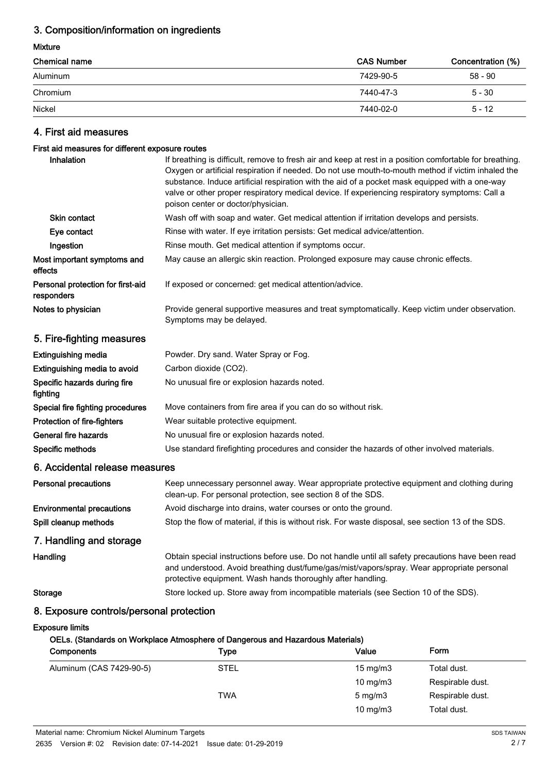### 3. Composition/information on ingredients

#### Mixture

| <b>Chemical name</b> | <b>CAS Number</b> | Concentration (%) |
|----------------------|-------------------|-------------------|
| Aluminum             | 7429-90-5         | 58 - 90           |
| Chromium             | 7440-47-3         | $5 - 30$          |
| Nickel               | 7440-02-0         | $5 - 12$          |

## 4. First aid measures

## First aid measures for different exposure routes

| casures for unferent exposure routes            |                                                                                                                                                                                                                                                                                                                                                                                                                                                          |
|-------------------------------------------------|----------------------------------------------------------------------------------------------------------------------------------------------------------------------------------------------------------------------------------------------------------------------------------------------------------------------------------------------------------------------------------------------------------------------------------------------------------|
| Inhalation                                      | If breathing is difficult, remove to fresh air and keep at rest in a position comfortable for breathing.<br>Oxygen or artificial respiration if needed. Do not use mouth-to-mouth method if victim inhaled the<br>substance. Induce artificial respiration with the aid of a pocket mask equipped with a one-way<br>valve or other proper respiratory medical device. If experiencing respiratory symptoms: Call a<br>poison center or doctor/physician. |
| <b>Skin contact</b>                             | Wash off with soap and water. Get medical attention if irritation develops and persists.                                                                                                                                                                                                                                                                                                                                                                 |
| Eye contact                                     | Rinse with water. If eye irritation persists: Get medical advice/attention.                                                                                                                                                                                                                                                                                                                                                                              |
| Ingestion                                       | Rinse mouth. Get medical attention if symptoms occur.                                                                                                                                                                                                                                                                                                                                                                                                    |
| Most important symptoms and<br>effects          | May cause an allergic skin reaction. Prolonged exposure may cause chronic effects.                                                                                                                                                                                                                                                                                                                                                                       |
| Personal protection for first-aid<br>responders | If exposed or concerned: get medical attention/advice.                                                                                                                                                                                                                                                                                                                                                                                                   |
| Notes to physician                              | Provide general supportive measures and treat symptomatically. Keep victim under observation.<br>Symptoms may be delayed.                                                                                                                                                                                                                                                                                                                                |
| 5. Fire-fighting measures                       |                                                                                                                                                                                                                                                                                                                                                                                                                                                          |
| <b>Extinguishing media</b>                      | Powder. Dry sand. Water Spray or Fog.                                                                                                                                                                                                                                                                                                                                                                                                                    |
| Extinguishing media to avoid                    | Carbon dioxide (CO2).                                                                                                                                                                                                                                                                                                                                                                                                                                    |
| Specific hazards during fire<br>fighting        | No unusual fire or explosion hazards noted.                                                                                                                                                                                                                                                                                                                                                                                                              |
| Special fire fighting procedures                | Move containers from fire area if you can do so without risk.                                                                                                                                                                                                                                                                                                                                                                                            |
| Protection of fire-fighters                     | Wear suitable protective equipment.                                                                                                                                                                                                                                                                                                                                                                                                                      |
| General fire hazards                            | No unusual fire or explosion hazards noted.                                                                                                                                                                                                                                                                                                                                                                                                              |
| Specific methods                                | Use standard firefighting procedures and consider the hazards of other involved materials.                                                                                                                                                                                                                                                                                                                                                               |
| 6. Accidental release measures                  |                                                                                                                                                                                                                                                                                                                                                                                                                                                          |
| <b>Personal precautions</b>                     | Keep unnecessary personnel away. Wear appropriate protective equipment and clothing during<br>clean-up. For personal protection, see section 8 of the SDS.                                                                                                                                                                                                                                                                                               |
| <b>Environmental precautions</b>                | Avoid discharge into drains, water courses or onto the ground.                                                                                                                                                                                                                                                                                                                                                                                           |
| Spill cleanup methods                           | Stop the flow of material, if this is without risk. For waste disposal, see section 13 of the SDS.                                                                                                                                                                                                                                                                                                                                                       |
| 7. Handling and storage                         |                                                                                                                                                                                                                                                                                                                                                                                                                                                          |
| Handling                                        | Obtain special instructions before use. Do not handle until all safety precautions have been read<br>and understood. Avoid breathing dust/fume/gas/mist/vapors/spray. Wear appropriate personal<br>protective equipment. Wash hands thoroughly after handling.                                                                                                                                                                                           |
| <b>Storage</b>                                  | Store locked up. Store away from incompatible materials (see Section 10 of the SDS).                                                                                                                                                                                                                                                                                                                                                                     |
| 8. Exposure controls/personal protection        |                                                                                                                                                                                                                                                                                                                                                                                                                                                          |
| <b>Exposure limits</b>                          |                                                                                                                                                                                                                                                                                                                                                                                                                                                          |
|                                                 |                                                                                                                                                                                                                                                                                                                                                                                                                                                          |

#### OELs. (Standards on Workplace Atmosphere of Dangerous and Hazardous Materials)

| Components               | Type        | Value             | Form             |
|--------------------------|-------------|-------------------|------------------|
| Aluminum (CAS 7429-90-5) | <b>STEL</b> | $15 \text{ mg/m}$ | Total dust.      |
|                          |             | 10 mg/m $3$       | Respirable dust. |
|                          | TWA         | $5 \text{ mg/m}$  | Respirable dust. |
|                          |             | 10 mg/m $3$       | Total dust.      |
|                          |             |                   |                  |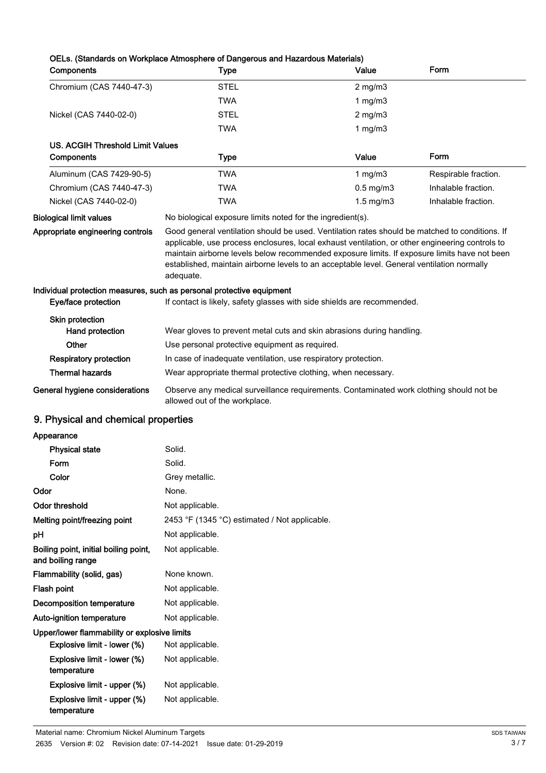### OELs. (Standards on Workplace Atmosphere of Dangerous and Hazardous Materials)

| Components                              | <b>Type</b>                                                                                                                                                                                                                                                                                                                                                                                                  | Value                | Form                 |
|-----------------------------------------|--------------------------------------------------------------------------------------------------------------------------------------------------------------------------------------------------------------------------------------------------------------------------------------------------------------------------------------------------------------------------------------------------------------|----------------------|----------------------|
| Chromium (CAS 7440-47-3)                | <b>STEL</b>                                                                                                                                                                                                                                                                                                                                                                                                  | $2 \text{ mg/m}$     |                      |
|                                         | TWA                                                                                                                                                                                                                                                                                                                                                                                                          | 1 mg/m $3$           |                      |
| Nickel (CAS 7440-02-0)                  | <b>STEL</b>                                                                                                                                                                                                                                                                                                                                                                                                  | $2 \text{ mg/m}$     |                      |
|                                         | TWA                                                                                                                                                                                                                                                                                                                                                                                                          | $1$ mg/m $3$         |                      |
| <b>US. ACGIH Threshold Limit Values</b> |                                                                                                                                                                                                                                                                                                                                                                                                              |                      |                      |
| Components                              | Type                                                                                                                                                                                                                                                                                                                                                                                                         | Value                | Form                 |
| Aluminum (CAS 7429-90-5)                | TWA                                                                                                                                                                                                                                                                                                                                                                                                          | $1$ mg/m $3$         | Respirable fraction. |
| Chromium (CAS 7440-47-3)                | TWA                                                                                                                                                                                                                                                                                                                                                                                                          | $0.5 \text{ mg/m}$ 3 | Inhalable fraction.  |
| Nickel (CAS 7440-02-0)                  | TWA                                                                                                                                                                                                                                                                                                                                                                                                          | $1.5 \text{ mg/m}$ 3 | Inhalable fraction.  |
| <b>Biological limit values</b>          | No biological exposure limits noted for the ingredient(s).                                                                                                                                                                                                                                                                                                                                                   |                      |                      |
| Appropriate engineering controls        | Good general ventilation should be used. Ventilation rates should be matched to conditions. If<br>applicable, use process enclosures, local exhaust ventilation, or other engineering controls to<br>maintain airborne levels below recommended exposure limits. If exposure limits have not been<br>established, maintain airborne levels to an acceptable level. General ventilation normally<br>adequate. |                      |                      |
| Eye/face protection                     | Individual protection measures, such as personal protective equipment<br>If contact is likely, safety glasses with side shields are recommended.                                                                                                                                                                                                                                                             |                      |                      |
| <b>Skin protection</b>                  |                                                                                                                                                                                                                                                                                                                                                                                                              |                      |                      |
| Hand protection                         | Wear gloves to prevent metal cuts and skin abrasions during handling.                                                                                                                                                                                                                                                                                                                                        |                      |                      |
| Other                                   | Use personal protective equipment as required.                                                                                                                                                                                                                                                                                                                                                               |                      |                      |
| <b>Respiratory protection</b>           | In case of inadequate ventilation, use respiratory protection.                                                                                                                                                                                                                                                                                                                                               |                      |                      |
| <b>Thermal hazards</b>                  | Wear appropriate thermal protective clothing, when necessary.                                                                                                                                                                                                                                                                                                                                                |                      |                      |
| General hygiene considerations          | Observe any medical surveillance requirements. Contaminated work clothing should not be<br>allowed out of the workplace.                                                                                                                                                                                                                                                                                     |                      |                      |
| 9. Physical and chemical properties     |                                                                                                                                                                                                                                                                                                                                                                                                              |                      |                      |
| Appearance                              |                                                                                                                                                                                                                                                                                                                                                                                                              |                      |                      |
| <b>Physical state</b>                   | Solid.                                                                                                                                                                                                                                                                                                                                                                                                       |                      |                      |
| Form                                    | Solid.                                                                                                                                                                                                                                                                                                                                                                                                       |                      |                      |
| Color                                   | Grey metallic.                                                                                                                                                                                                                                                                                                                                                                                               |                      |                      |
| Odor                                    | None.                                                                                                                                                                                                                                                                                                                                                                                                        |                      |                      |
| Odor threshold                          | Not applicable.                                                                                                                                                                                                                                                                                                                                                                                              |                      |                      |
| Melting point/freezing point            | 2453 °F (1345 °C) estimated / Not applicable.                                                                                                                                                                                                                                                                                                                                                                |                      |                      |
| рH                                      | Not applicable.                                                                                                                                                                                                                                                                                                                                                                                              |                      |                      |

| Boiling point, initial boiling point,<br>and boiling range | Not applicable. |
|------------------------------------------------------------|-----------------|
| Flammability (solid, gas)                                  | None known.     |
| Flash point                                                | Not applicable. |
| Decomposition temperature                                  | Not applicable. |
| Auto-ignition temperature                                  | Not applicable. |
| Upper/lower flammability or explosive limits               |                 |
| Explosive limit - lower (%)                                | Not applicable. |
| Explosive limit - lower (%)<br>temperature                 | Not applicable. |
| Explosive limit - upper (%)                                | Not applicable. |
| Explosive limit - upper (%)<br>temperature                 | Not applicable. |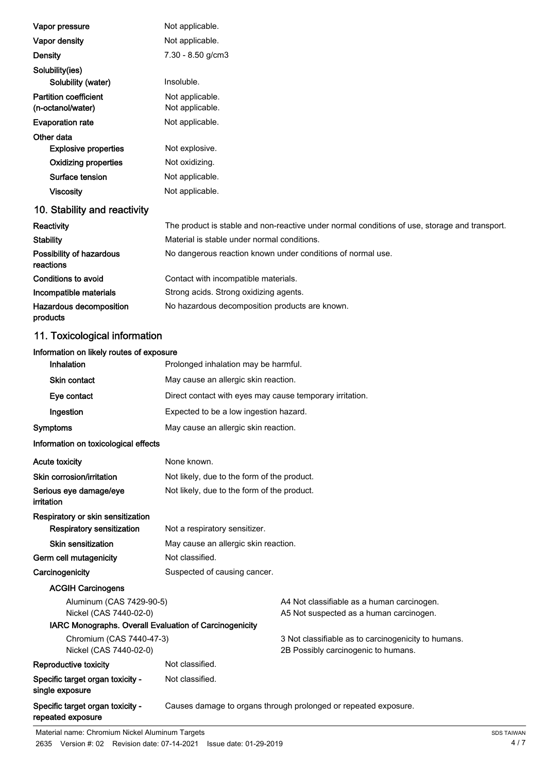| Vapor pressure                                    | Not applicable.                                                                               |
|---------------------------------------------------|-----------------------------------------------------------------------------------------------|
| Vapor density                                     | Not applicable.                                                                               |
| <b>Density</b>                                    | 7.30 - 8.50 g/cm3                                                                             |
| Solubility(ies)                                   |                                                                                               |
| Solubility (water)                                | Insoluble.                                                                                    |
| <b>Partition coefficient</b><br>(n-octanol/water) | Not applicable.<br>Not applicable.                                                            |
| <b>Evaporation rate</b>                           | Not applicable.                                                                               |
| Other data                                        |                                                                                               |
| <b>Explosive properties</b>                       | Not explosive.                                                                                |
| <b>Oxidizing properties</b>                       | Not oxidizing.                                                                                |
| Surface tension                                   | Not applicable.                                                                               |
| <b>Viscosity</b>                                  | Not applicable.                                                                               |
| 10. Stability and reactivity                      |                                                                                               |
| Reactivity                                        | The product is stable and non-reactive under normal conditions of use, storage and transport. |
| <b>Stability</b>                                  | Material is stable under normal conditions.                                                   |
| Possibility of hazardous<br>reactions             | No dangerous reaction known under conditions of normal use.                                   |
| Conditions to avoid                               | Contact with incompatible materials.                                                          |
| Incompatible materials                            | Strong acids. Strong oxidizing agents.                                                        |
| Hazardous decomposition<br>products               | No hazardous decomposition products are known.                                                |
| 11. Toxicological information                     |                                                                                               |
| Information on likely routes of exposure          |                                                                                               |
| Inhalation                                        | Prolonged inhalation may be harmful.                                                          |
| Skin contact                                      | May cause an allergic skin reaction.                                                          |
| Eye contact                                       | Direct contact with eyes may cause temporary irritation.                                      |
| Ingestion                                         | Expected to be a low ingestion hazard.                                                        |
| <b>Symptoms</b>                                   | May cause an allergic skin reaction.                                                          |
| Information on toxicological effects              |                                                                                               |
| <b>Acute toxicity</b>                             | None known.                                                                                   |
| Skin corrosion/irritation                         | Not likely, due to the form of the product.                                                   |
| Serious eye damage/eye<br><b>irritation</b>       | Not likely, due to the form of the product.                                                   |
| Respiratory or skin sensitization                 |                                                                                               |
| <b>Respiratory sensitization</b>                  | Not a respiratory sensitizer.                                                                 |
| <b>Skin sensitization</b>                         | May cause an allergic skin reaction.                                                          |

Germ cell mutagenicity **Not classified.** Carcinogenicity **Suspected of causing cancer.** 

Specific target organ toxicity -

single exposure

ACGIH Carcinogens Aluminum (CAS 7429-90-5) A4 Not classifiable as a human carcinogen. Nickel (CAS 7440-02-0) A5 Not suspected as a human carcinogen.

IARC Monographs. Overall Evaluation of Carcinogenicity

Nickel (CAS 7440-02-0) 2B Possibly carcinogenic to humans. Reproductive toxicity **Not classified.** 

Chromium (CAS 7440-47-3) 3 Not classifiable as to carcinogenicity to humans.

Specific target organ toxicity repeated exposure Causes damage to organs through prolonged or repeated exposure.

Not classified.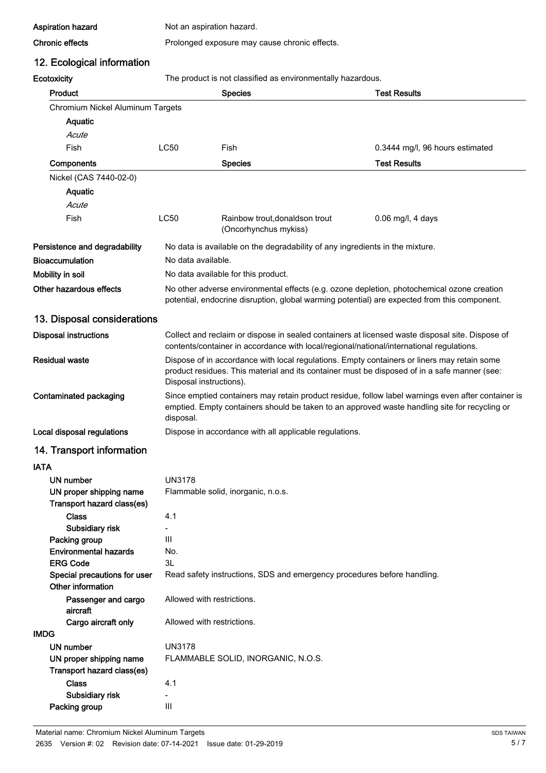Aspiration hazard Not an aspiration hazard.

#### Chronic effects **Prolonged exposure may cause chronic effects.**

### 12. Ecological information

Ecotoxicity The product is not classified as environmentally hazardous.

| ∟∪∪ผมมเ                                               |                                                                                                                                                                                                                        | The product is not classified as errormormentally nazardous.                                                                                                                               |                                 |
|-------------------------------------------------------|------------------------------------------------------------------------------------------------------------------------------------------------------------------------------------------------------------------------|--------------------------------------------------------------------------------------------------------------------------------------------------------------------------------------------|---------------------------------|
| Product                                               |                                                                                                                                                                                                                        | <b>Species</b>                                                                                                                                                                             | <b>Test Results</b>             |
| Chromium Nickel Aluminum Targets                      |                                                                                                                                                                                                                        |                                                                                                                                                                                            |                                 |
| Aquatic                                               |                                                                                                                                                                                                                        |                                                                                                                                                                                            |                                 |
| Acute                                                 |                                                                                                                                                                                                                        |                                                                                                                                                                                            |                                 |
| Fish                                                  | <b>LC50</b>                                                                                                                                                                                                            | Fish                                                                                                                                                                                       | 0.3444 mg/l, 96 hours estimated |
| Components                                            |                                                                                                                                                                                                                        | <b>Species</b>                                                                                                                                                                             | <b>Test Results</b>             |
| Nickel (CAS 7440-02-0)                                |                                                                                                                                                                                                                        |                                                                                                                                                                                            |                                 |
| Aquatic                                               |                                                                                                                                                                                                                        |                                                                                                                                                                                            |                                 |
| Acute                                                 |                                                                                                                                                                                                                        |                                                                                                                                                                                            |                                 |
| Fish                                                  | LC50                                                                                                                                                                                                                   | Rainbow trout, donaldson trout                                                                                                                                                             | $0.06$ mg/l, 4 days             |
|                                                       |                                                                                                                                                                                                                        | (Oncorhynchus mykiss)                                                                                                                                                                      |                                 |
| Persistence and degradability                         |                                                                                                                                                                                                                        | No data is available on the degradability of any ingredients in the mixture.                                                                                                               |                                 |
| <b>Bioaccumulation</b>                                | No data available.                                                                                                                                                                                                     |                                                                                                                                                                                            |                                 |
| Mobility in soil                                      |                                                                                                                                                                                                                        | No data available for this product.                                                                                                                                                        |                                 |
| Other hazardous effects                               |                                                                                                                                                                                                                        | No other adverse environmental effects (e.g. ozone depletion, photochemical ozone creation<br>potential, endocrine disruption, global warming potential) are expected from this component. |                                 |
| 13. Disposal considerations                           |                                                                                                                                                                                                                        |                                                                                                                                                                                            |                                 |
| <b>Disposal instructions</b>                          | Collect and reclaim or dispose in sealed containers at licensed waste disposal site. Dispose of<br>contents/container in accordance with local/regional/national/international regulations.                            |                                                                                                                                                                                            |                                 |
| <b>Residual waste</b>                                 | Dispose of in accordance with local regulations. Empty containers or liners may retain some<br>product residues. This material and its container must be disposed of in a safe manner (see:<br>Disposal instructions). |                                                                                                                                                                                            |                                 |
| Contaminated packaging                                | Since emptied containers may retain product residue, follow label warnings even after container is<br>emptied. Empty containers should be taken to an approved waste handling site for recycling or<br>disposal.       |                                                                                                                                                                                            |                                 |
| Local disposal regulations                            |                                                                                                                                                                                                                        | Dispose in accordance with all applicable regulations.                                                                                                                                     |                                 |
| 14. Transport information                             |                                                                                                                                                                                                                        |                                                                                                                                                                                            |                                 |
| <b>IATA</b>                                           |                                                                                                                                                                                                                        |                                                                                                                                                                                            |                                 |
| UN number                                             | <b>UN3178</b>                                                                                                                                                                                                          |                                                                                                                                                                                            |                                 |
| UN proper shipping name<br>Transport hazard class(es) |                                                                                                                                                                                                                        | Flammable solid, inorganic, n.o.s.                                                                                                                                                         |                                 |
| <b>Class</b>                                          | 4.1                                                                                                                                                                                                                    |                                                                                                                                                                                            |                                 |
| Subsidiary risk                                       | $\overline{\phantom{a}}$                                                                                                                                                                                               |                                                                                                                                                                                            |                                 |
| Packing group                                         | III                                                                                                                                                                                                                    |                                                                                                                                                                                            |                                 |
| <b>Environmental hazards</b>                          | No.                                                                                                                                                                                                                    |                                                                                                                                                                                            |                                 |
| <b>ERG Code</b>                                       | 3L                                                                                                                                                                                                                     |                                                                                                                                                                                            |                                 |
| Special precautions for user<br>Other information     |                                                                                                                                                                                                                        | Read safety instructions, SDS and emergency procedures before handling.                                                                                                                    |                                 |
| Passenger and cargo<br>aircraft                       |                                                                                                                                                                                                                        | Allowed with restrictions.                                                                                                                                                                 |                                 |
| Cargo aircraft only                                   |                                                                                                                                                                                                                        | Allowed with restrictions.                                                                                                                                                                 |                                 |
| <b>IMDG</b>                                           |                                                                                                                                                                                                                        |                                                                                                                                                                                            |                                 |
| UN number                                             | <b>UN3178</b>                                                                                                                                                                                                          |                                                                                                                                                                                            |                                 |
| UN proper shipping name<br>Transport hazard class(es) |                                                                                                                                                                                                                        | FLAMMABLE SOLID, INORGANIC, N.O.S.                                                                                                                                                         |                                 |
| <b>Class</b>                                          | 4.1                                                                                                                                                                                                                    |                                                                                                                                                                                            |                                 |
| Subsidiary risk                                       |                                                                                                                                                                                                                        |                                                                                                                                                                                            |                                 |
| Packing group                                         | $\mathbf{III}$                                                                                                                                                                                                         |                                                                                                                                                                                            |                                 |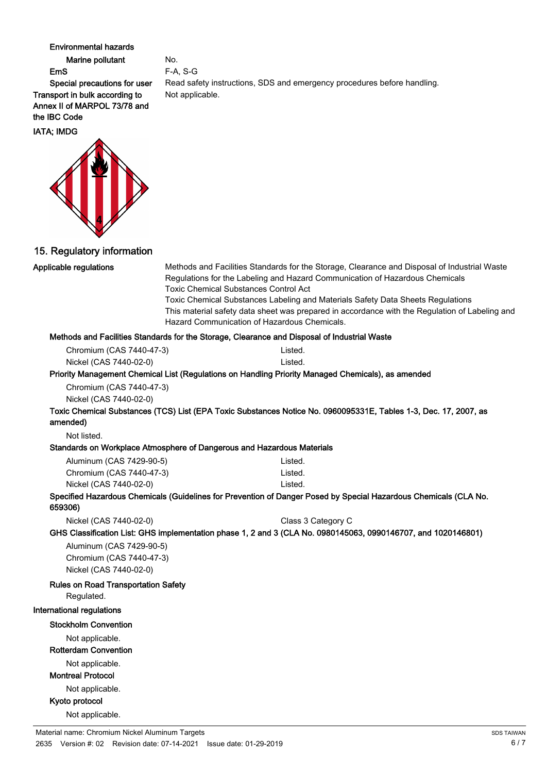#### Environmental hazards

Marine pollutant No. EmS F-A, S-G

Special precautions for user Read safety instructions, SDS and emergency procedures before handling. Transport in bulk according to Not applicable. Annex II of MARPOL 73/78 and the IBC Code

IATA; IMDG



15. Regulatory information

#### Applicable regulations

Methods and Facilities Standards for the Storage, Clearance and Disposal of Industrial Waste Regulations for the Labeling and Hazard Communication of Hazardous Chemicals Toxic Chemical Substances Control Act

Toxic Chemical Substances Labeling and Materials Safety Data Sheets Regulations This material safety data sheet was prepared in accordance with the Regulation of Labeling and Hazard Communication of Hazardous Chemicals.

#### Methods and Facilities Standards for the Storage, Clearance and Disposal of Industrial Waste

| Chromium (CAS 7440-47-3) | Listed. |
|--------------------------|---------|
| Nickel (CAS 7440-02-0)   | Listed. |

#### Priority Management Chemical List (Regulations on Handling Priority Managed Chemicals), as amended

Chromium (CAS 7440-47-3) Nickel (CAS 7440-02-0)

Toxic Chemical Substances (TCS) List (EPA Toxic Substances Notice No. 0960095331E, Tables 1-3, Dec. 17, 2007, as amended)

Not listed.

#### Standards on Workplace Atmosphere of Dangerous and Hazardous Materials

| Aluminum (CAS 7429-90-5) | Listed. |
|--------------------------|---------|
| Chromium (CAS 7440-47-3) | Listed. |
| Nickel (CAS 7440-02-0)   | Listed. |

#### Specified Hazardous Chemicals (Guidelines for Prevention of Danger Posed by Special Hazardous Chemicals (CLA No. 659306)

Nickel (CAS 7440-02-0) Class 3 Category C

GHS Classification List: GHS implementation phase 1, 2 and 3 (CLA No. 0980145063, 0990146707, and 1020146801)

Aluminum (CAS 7429-90-5) Chromium (CAS 7440-47-3) Nickel (CAS 7440-02-0)

#### Rules on Road Transportation Safety

Regulated.

#### International regulations

#### Stockholm Convention

Not applicable.

#### Rotterdam Convention

Not applicable.

#### Montreal Protocol

Not applicable.

#### Kyoto protocol

Not applicable.